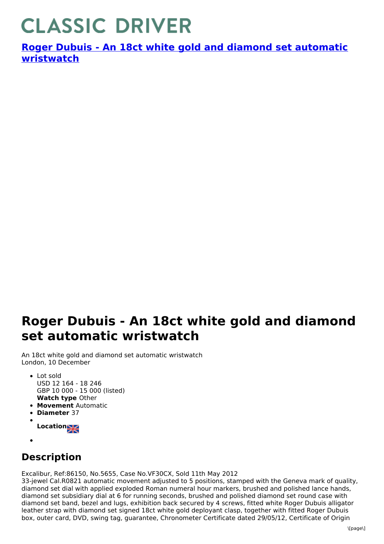## **CLASSIC DRIVER**

**Roger Dubuis - An 18ct white gold and diamond set automatic [wristwatch](https://www.classicdriver.com/en/watch/roger-dubuis/269302)**

## **Roger Dubuis - An 18ct white gold and diamond set automatic wristwatch**

An 18ct white gold and diamond set automatic wristwatch London, 10 December

- **Watch type** Other • Lot sold USD 12 164 - 18 246 GBP 10 000 - 15 000 (listed)
- **Movement** Automatic
- **Diameter** 37
- **Location**
- 

## **Description**

Excalibur, Ref:86150, No.5655, Case No.VF30CX, Sold 11th May 2012

33-jewel Cal.R0821 automatic movement adjusted to 5 positions, stamped with the Geneva mark of quality, diamond set dial with applied exploded Roman numeral hour markers, brushed and polished lance hands, diamond set subsidiary dial at 6 for running seconds, brushed and polished diamond set round case with diamond set band, bezel and lugs, exhibition back secured by 4 screws, fitted white Roger Dubuis alligator leather strap with diamond set signed 18ct white gold deployant clasp, together with fitted Roger Dubuis box, outer card, DVD, swing tag, guarantee, Chronometer Certificate dated 29/05/12, Certificate of Origin